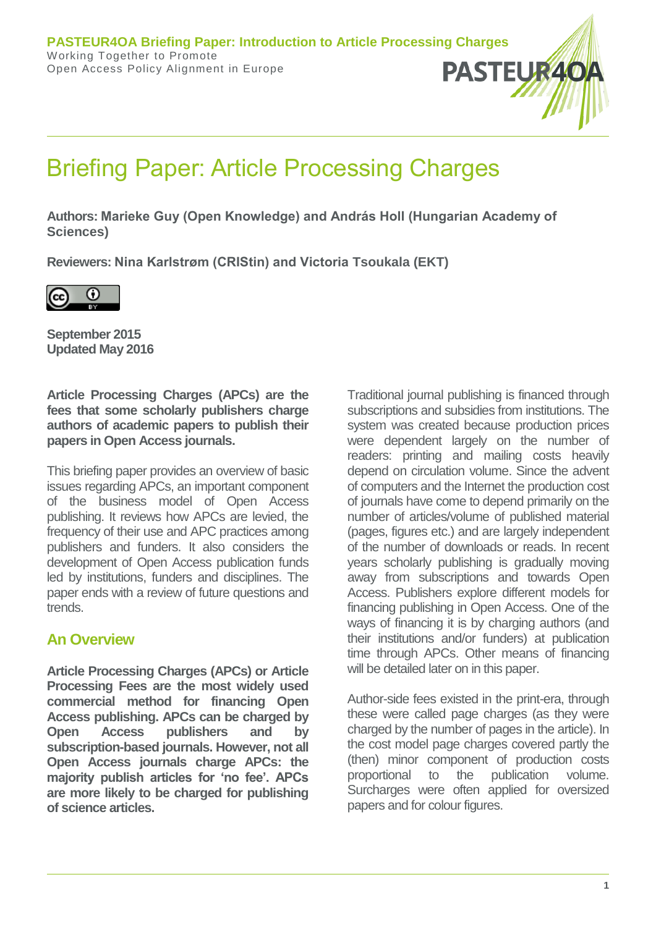# Briefing Paper: Article Processing Charges

**Authors: Marieke Guy (Open Knowledge) and András Holl (Hungarian Academy of Sciences)**

**Reviewers: Nina Karlstrøm (CRIStin) and Victoria Tsoukala (EKT)**



**September 2015 Updated May 2016**

**Article Processing Charges (APCs) are the fees that some scholarly publishers charge authors of academic papers to publish their papers in Open Access journals.** 

This briefing paper provides an overview of basic issues regarding APCs, an important component of the business model of Open Access publishing. It reviews how APCs are levied, the frequency of their use and APC practices among publishers and funders. It also considers the development of Open Access publication funds led by institutions, funders and disciplines. The paper ends with a review of future questions and trends.

## **An Overview**

**Article Processing Charges (APCs) or Article Processing Fees are the most widely used commercial method for financing Open Access publishing. APCs can be charged by Open Access publishers and by subscription-based journals. However, not all Open Access journals charge APCs: the majority publish articles for 'no fee'. APCs are more likely to be charged for publishing of science articles.**

Traditional journal publishing is financed through subscriptions and subsidies from institutions. The system was created because production prices were dependent largely on the number of readers: printing and mailing costs heavily depend on circulation volume. Since the advent of computers and the Internet the production cost of journals have come to depend primarily on the number of articles/volume of published material (pages, figures etc.) and are largely independent of the number of downloads or reads. In recent years scholarly publishing is gradually moving away from subscriptions and towards Open Access. Publishers explore different models for financing publishing in Open Access. One of the ways of financing it is by charging authors (and their institutions and/or funders) at publication time through APCs. Other means of financing will be detailed later on in this paper.

Author-side fees existed in the print-era, through these were called page charges (as they were charged by the number of pages in the article). In the cost model page charges covered partly the (then) minor component of production costs proportional to the publication volume. Surcharges were often applied for oversized papers and for colour figures.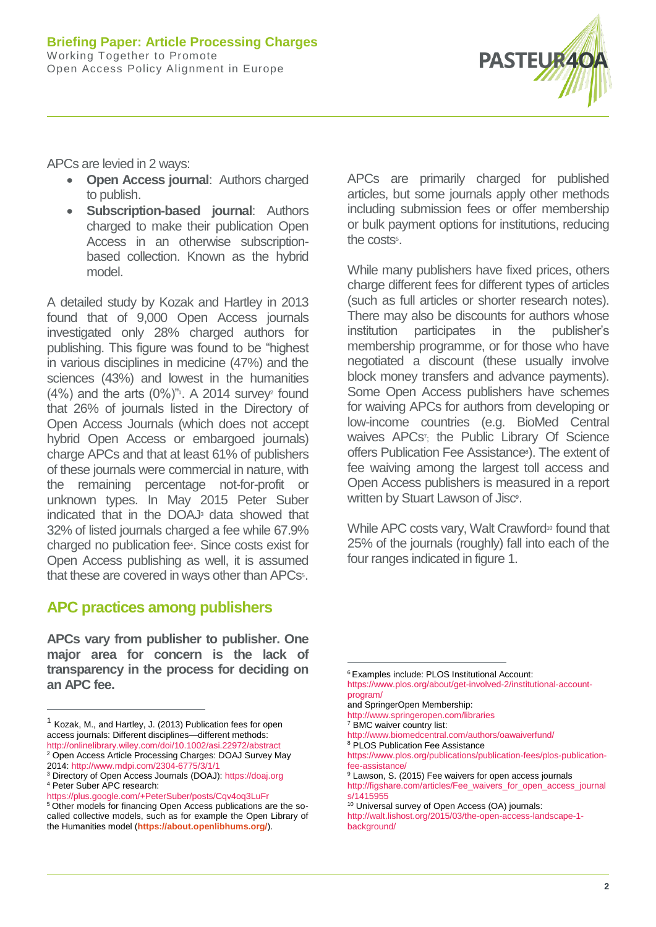

APCs are levied in 2 ways:

- **Open Access journal**: Authors charged to publish.
- **Subscription-based journal**: Authors charged to make their publication Open Access in an otherwise subscriptionbased collection. Known as the hybrid model.

A detailed study by Kozak and Hartley in 2013 found that of 9,000 Open Access journals investigated only 28% charged authors for publishing. This figure was found to be "highest in various disciplines in medicine (47%) and the sciences (43%) and lowest in the humanities  $(4%)$  and the arts  $(0%)$ "<sup>1</sup>. A 2014 survey<sup>2</sup> found that 26% of journals listed in the Directory of Open Access Journals (which does not accept hybrid Open Access or embargoed journals) charge APCs and that at least 61% of publishers of these journals were commercial in nature, with the remaining percentage not-for-profit or unknown types. In May 2015 Peter Suber indicated that in the DOAJ<sup>3</sup> data showed that 32% of listed journals charged a fee while 67.9% charged no publication fee<sup>4</sup>. Since costs exist for Open Access publishing as well, it is assumed that these are covered in ways other than APCs<sup>5</sup>.

# **APC practices among publishers**

**APCs vary from publisher to publisher. One major area for concern is the lack of transparency in the process for deciding on an APC fee.** 

 $\overline{a}$ 

<sup>2</sup> Open Access Article Processing Charges: DOAJ Survey May 2014:<http://www.mdpi.com/2304-6775/3/1/1>

APCs are primarily charged for published articles, but some journals apply other methods including submission fees or offer membership or bulk payment options for institutions, reducing the costs<sup>6</sup>.

While many publishers have fixed prices, others charge different fees for different types of articles (such as full articles or shorter research notes). There may also be discounts for authors whose institution participates in the publisher's membership programme, or for those who have negotiated a discount (these usually involve block money transfers and advance payments). Some Open Access publishers have schemes for waiving APCs for authors from developing or low-income countries (e.g. BioMed Central waives APCs<sup>7</sup> ; the Public Library Of Science offers Publication Fee Assistance<sup>®</sup>). The extent of fee waiving among the largest toll access and Open Access publishers is measured in a report written by Stuart Lawson of Jisc<sup>o</sup>.

While APC costs vary, Walt Crawford<sup>10</sup> found that 25% of the journals (roughly) fall into each of the four ranges indicated in figure 1.

<http://www.springeropen.com/libraries> <sup>7</sup> BMC waiver country list:

<sup>8</sup> PLOS Publication Fee Assistance

<sup>1</sup> Kozak, M., and Hartley, J. (2013) Publication fees for open access journals: Different disciplines—different methods: <http://onlinelibrary.wiley.com/doi/10.1002/asi.22972/abstract>

<sup>3</sup> Directory of Open Access Journals (DOAJ): https://doaj.org <sup>4</sup> Peter Suber APC research:

<https://plus.google.com/+PeterSuber/posts/Cqv4oq3LuFr>

<sup>5</sup> Other models for financing Open Access publications are the socalled collective models, such as for example the Open Library of the Humanities model (**<https://about.openlibhums.org/>**).

<sup>1</sup> <sup>6</sup> Examples include: PLOS Institutional Account:

[https://www.plos.org/about/get-involved-2/institutional-account](https://www.plos.org/about/get-involved-2/institutional-account-program/)[program/](https://www.plos.org/about/get-involved-2/institutional-account-program/) 

and SpringerOpen Membership:

<http://www.biomedcentral.com/authors/oawaiverfund/>

[https://www.plos.org/publications/publication-fees/plos-publication](https://www.plos.org/publications/publication-fees/plos-publication-fee-assistance/)[fee-assistance/](https://www.plos.org/publications/publication-fees/plos-publication-fee-assistance/)

<sup>&</sup>lt;sup>9</sup> Lawson, S. (2015) Fee waivers for open access journals [http://figshare.com/articles/Fee\\_waivers\\_for\\_open\\_access\\_journal](http://figshare.com/articles/Fee_waivers_for_open_access_journals/1415955) [s/1415955](http://figshare.com/articles/Fee_waivers_for_open_access_journals/1415955)

<sup>&</sup>lt;sup>10</sup> Universal survey of Open Access (OA) journals:

[http://walt.lishost.org/2015/03/the-open-access-landscape-1](http://walt.lishost.org/2015/03/the-open-access-landscape-1-background/) [background/](http://walt.lishost.org/2015/03/the-open-access-landscape-1-background/)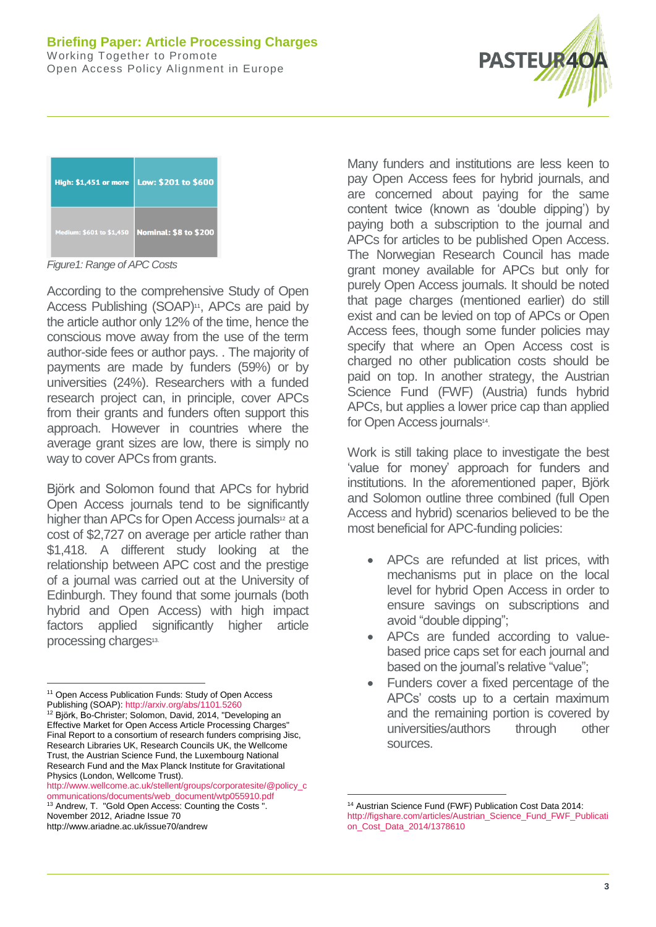Working Together to Promote Open Access Policy Alignment in Europe



| <b>High: \$1,451 or more</b> | $\vert$ Low: \$201 to \$600  |
|------------------------------|------------------------------|
| Medium: \$601 to \$1,450     | <b>Nominal: \$8 to \$200</b> |

*Figure1: Range of APC Costs*

According to the comprehensive Study of Open Access Publishing (SOAP)<sup>11</sup>, APCs are paid by the article author only 12% of the time, hence the conscious move away from the use of the term author-side fees or author pays. . The majority of payments are made by funders (59%) or by universities (24%). Researchers with a funded research project can, in principle, cover APCs from their grants and funders often support this approach. However in countries where the average grant sizes are low, there is simply no way to cover APCs from grants.

Björk and Solomon found that APCs for hybrid Open Access journals tend to be significantly higher than APCs for Open Access journals<sup>12</sup> at a cost of \$2,727 on average per article rather than \$1,418. A different study looking at the relationship between APC cost and the prestige of a journal was carried out at the University of Edinburgh. They found that some journals (both hybrid and Open Access) with high impact factors applied significantly higher article processing charges<sup>13.</sup>

[http://www.wellcome.ac.uk/stellent/groups/corporatesite/@policy\\_c](http://www.wellcome.ac.uk/stellent/groups/corporatesite/@policy_communications/documents/web_document/wtp055910.pdf) [ommunications/documents/web\\_document/wtp055910.pdf](http://www.wellcome.ac.uk/stellent/groups/corporatesite/@policy_communications/documents/web_document/wtp055910.pdf) <sup>13</sup> Andrew, T. "Gold Open Access: Counting the Costs".

Many funders and institutions are less keen to pay Open Access fees for hybrid journals, and are concerned about paying for the same content twice (known as 'double dipping') by paying both a subscription to the journal and APCs for articles to be published Open Access. The Norwegian Research Council has made grant money available for APCs but only for purely Open Access journals. It should be noted that page charges (mentioned earlier) do still exist and can be levied on top of APCs or Open Access fees, though some funder policies may specify that where an Open Access cost is charged no other publication costs should be paid on top. In another strategy, the Austrian Science Fund (FWF) (Austria) funds hybrid APCs, but applies a lower price cap than applied for Open Access journals<sup>14</sup>.

Work is still taking place to investigate the best 'value for money' approach for funders and institutions. In the aforementioned paper, Björk and Solomon outline three combined (full Open Access and hybrid) scenarios believed to be the most beneficial for APC-funding policies:

- APCs are refunded at list prices, with mechanisms put in place on the local level for hybrid Open Access in order to ensure savings on subscriptions and avoid "double dipping";
- APCs are funded according to valuebased price caps set for each journal and based on the journal's relative "value";
- Funders cover a fixed percentage of the APCs' costs up to a certain maximum and the remaining portion is covered by universities/authors through other sources.

1

 $\overline{a}$ <sup>11</sup> Open Access Publication Funds: Study of Open Access Publishing (SOAP): <http://arxiv.org/abs/1101.5260>

<sup>&</sup>lt;sup>12</sup> Björk, Bo-Christer; Solomon, David, 2014, "Developing an Effective Market for Open Access Article Processing Charges" Final Report to a consortium of research funders comprising Jisc, Research Libraries UK, Research Councils UK, the Wellcome Trust, the Austrian Science Fund, the Luxembourg National Research Fund and the Max Planck Institute for Gravitational Physics (London, Wellcome Trust).

November 2012, Ariadne Issue 7[0](http://www.ariadne.ac.uk/issue70/andrew)

<http://www.ariadne.ac.uk/issue70/andrew>

<sup>14</sup> Austrian Science Fund (FWF) Publication Cost Data 2014: [http://figshare.com/articles/Austrian\\_Science\\_Fund\\_FWF\\_Publicati](http://figshare.com/articles/Austrian_Science_Fund_FWF_Publication_Cost_Data_2014/1378610) [on\\_Cost\\_Data\\_2014/1378610](http://figshare.com/articles/Austrian_Science_Fund_FWF_Publication_Cost_Data_2014/1378610)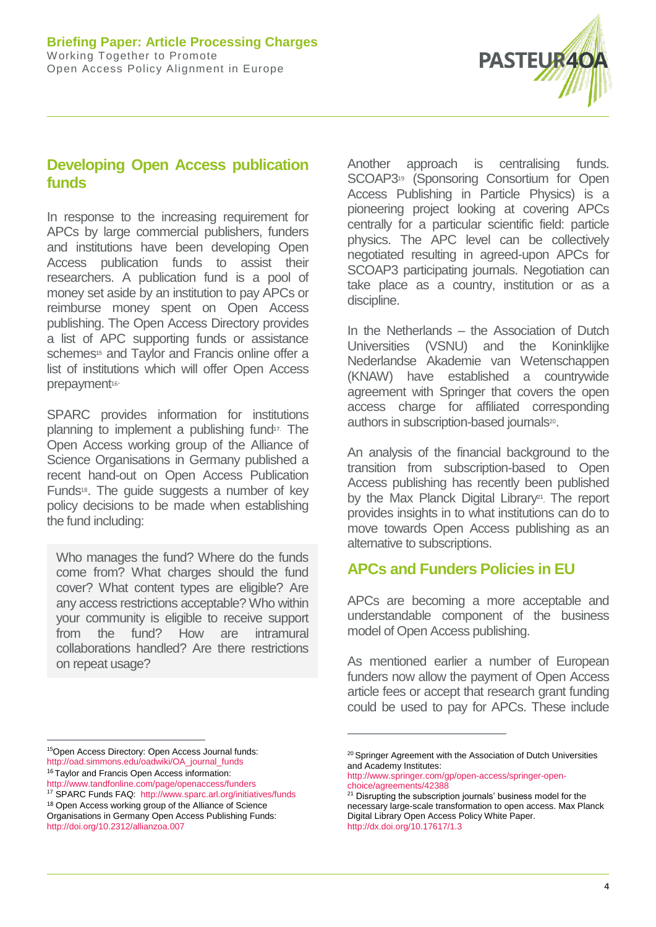

# **Developing Open Access publication funds**

In response to the increasing requirement for APCs by large commercial publishers, funders and institutions have been developing Open Access publication funds to assist their researchers. A publication fund is a pool of money set aside by an institution to pay APCs or reimburse money spent on Open Access publishing. The Open Access Directory provides a list of APC supporting funds or assistance schemes<sup>15</sup> and Taylor and Francis online offer a list of institutions which will offer Open Access prepayment<sup>16</sup>

SPARC provides information for institutions planning to implement a publishing fund<sup>17</sup>. The Open Access working group of the Alliance of Science Organisations in Germany published a recent hand-out on Open Access Publication Funds<sup>18</sup>. The guide suggests a number of key policy decisions to be made when establishing the fund including:

Who manages the fund? Where do the funds come from? What charges should the fund cover? What content types are eligible? Are any access restrictions acceptable? Who within your community is eligible to receive support from the fund? How are intramural collaborations handled? Are there restrictions on repeat usage?

Another approach is centralising funds. SCOAP3<sup>19</sup> (Sponsoring Consortium for Open Access Publishing in Particle Physics) is a pioneering project looking at covering APCs centrally for a particular scientific field: particle physics. The APC level can be collectively negotiated resulting in agreed-upon APCs for SCOAP3 participating journals. Negotiation can take place as a country, institution or as a discipline.

In the Netherlands – the Association of Dutch Universities (VSNU) and the Koninklijke Nederlandse Akademie van Wetenschappen (KNAW) have established a countrywide agreement with Springer that covers the open access charge for affiliated corresponding authors in subscription-based journals<sup>20</sup>.

An analysis of the financial background to the transition from subscription-based to Open Access publishing has recently been published by the Max Planck Digital Library<sup>21</sup>. The report provides insights in to what institutions can do to move towards Open Access publishing as an alternative to subscriptions.

# **APCs and Funders Policies in EU**

APCs are becoming a more acceptable and understandable component of the business model of Open Access publishing.

As mentioned earlier a number of European funders now allow the payment of Open Access article fees or accept that research grant funding could be used to pay for APCs. These include

1

 $\overline{a}$ <sup>15</sup>Open Access Directory: Open Access Journal funds: [http://oad.simmons.edu/oadwiki/OA\\_journal\\_funds](http://oad.simmons.edu/oadwiki/OA_journal_funds)

<sup>16</sup> Taylor and Francis Open Access information:

<http://www.tandfonline.com/page/openaccess/funders>

<sup>17</sup> SPARC Funds FAQ: http://www.sparc.arl.org/initiatives/funds 18 Open Access working group of the Alliance of Science

Organisations in Germany Open Access Publishing Funds: <http://doi.org/10.2312/allianzoa.007>

<sup>&</sup>lt;sup>20</sup> Springer Agreement with the Association of Dutch Universities and Academy Institutes:

[http://www.springer.com/gp/open-access/springer-open](http://www.springer.com/gp/open-access/springer-open-choice/agreements/42388)[choice/agreements/42388](http://www.springer.com/gp/open-access/springer-open-choice/agreements/42388)

<sup>21</sup> Disrupting the subscription journals' business model for the necessary large-scale transformation to open access. Max Planck Digital Library Open Access Policy White Paper. <http://dx.doi.org/10.17617/1.3>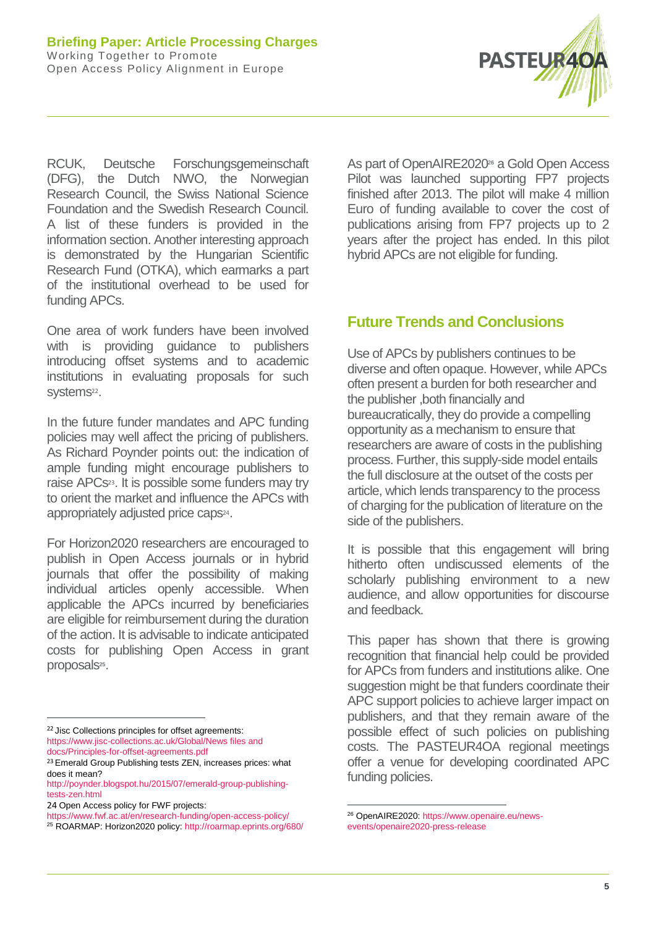

RCUK, Deutsche Forschungsgemeinschaft (DFG), the Dutch NWO, the Norwegian Research Council, the Swiss National Science Foundation and the Swedish Research Council. A list of these funders is provided in the information section. Another interesting approach is demonstrated by the Hungarian Scientific Research Fund (OTKA), which earmarks a part of the institutional overhead to be used for funding APCs.

One area of work funders have been involved with is providing guidance to publishers introducing offset systems and to academic institutions in evaluating proposals for such systems<sup>22</sup>.

In the future funder mandates and APC funding policies may well affect the pricing of publishers. As Richard Poynder points out: the indication of ample funding might encourage publishers to raise APCs23. It is possible some funders may try to orient the market and influence the APCs with appropriately adjusted price caps<sup>24</sup>.

For Horizon2020 researchers are encouraged to publish in Open Access journals or in hybrid journals that offer the possibility of making individual articles openly accessible. When applicable the APCs incurred by beneficiaries are eligible for reimbursement during the duration of the action. It is advisable to indicate anticipated costs for publishing Open Access in grant proposals<sup>25</sup>.

 $\overline{a}$ 

As part of OpenAIRE2020<sup>26</sup> a Gold Open Access Pilot was launched supporting FP7 projects finished after 2013. The pilot will make 4 million Euro of funding available to cover the cost of publications arising from FP7 projects up to 2 years after the project has ended. In this pilot hybrid APCs are not eligible for funding.

# **Future Trends and Conclusions**

Use of APCs by publishers continues to be diverse and often opaque. However, while APCs often present a burden for both researcher and the publisher ,both financially and bureaucratically, they do provide a compelling opportunity as a mechanism to ensure that researchers are aware of costs in the publishing process. Further, this supply-side model entails the full disclosure at the outset of the costs per article, which lends transparency to the process of charging for the publication of literature on the side of the publishers.

It is possible that this engagement will bring hitherto often undiscussed elements of the scholarly publishing environment to a new audience, and allow opportunities for discourse and feedback.

This paper has shown that there is growing recognition that financial help could be provided for APCs from funders and institutions alike. One suggestion might be that funders coordinate their APC support policies to achieve larger impact on publishers, and that they remain aware of the possible effect of such policies on publishing costs. The PASTEUR4OA regional meetings offer a venue for developing coordinated APC funding policies.

<sup>22</sup> Jisc Collections principles for offset agreements: [https://www.jisc-collections.ac.uk/Global/News files and](https://www.jisc-collections.ac.uk/Global/News%20files%20and%20docs/Principles-for-offset-agreements.pdf)  [docs/Principles-for-offset-agreements.pdf](https://www.jisc-collections.ac.uk/Global/News%20files%20and%20docs/Principles-for-offset-agreements.pdf)

<sup>23</sup>Emerald Group Publishing tests ZEN, increases prices: what does it mean?

[http://poynder.blogspot.hu/2015/07/emerald-group-publishing](http://poynder.blogspot.hu/2015/07/emerald-group-publishing-tests-zen.html)[tests-zen.html](http://poynder.blogspot.hu/2015/07/emerald-group-publishing-tests-zen.html)

<sup>24</sup> Open Access policy for FWF projects:

<https://www.fwf.ac.at/en/research-funding/open-access-policy/> <sup>25</sup> ROARMAP: Horizon2020 policy[: http://roarmap.eprints.org/680/](http://roarmap.eprints.org/680/)

<sup>1</sup> <sup>26</sup> OpenAIRE2020[: https://www.openaire.eu/news-](https://www.openaire.eu/news-events/openaire2020-press-release)

[events/openaire2020-press-release](https://www.openaire.eu/news-events/openaire2020-press-release)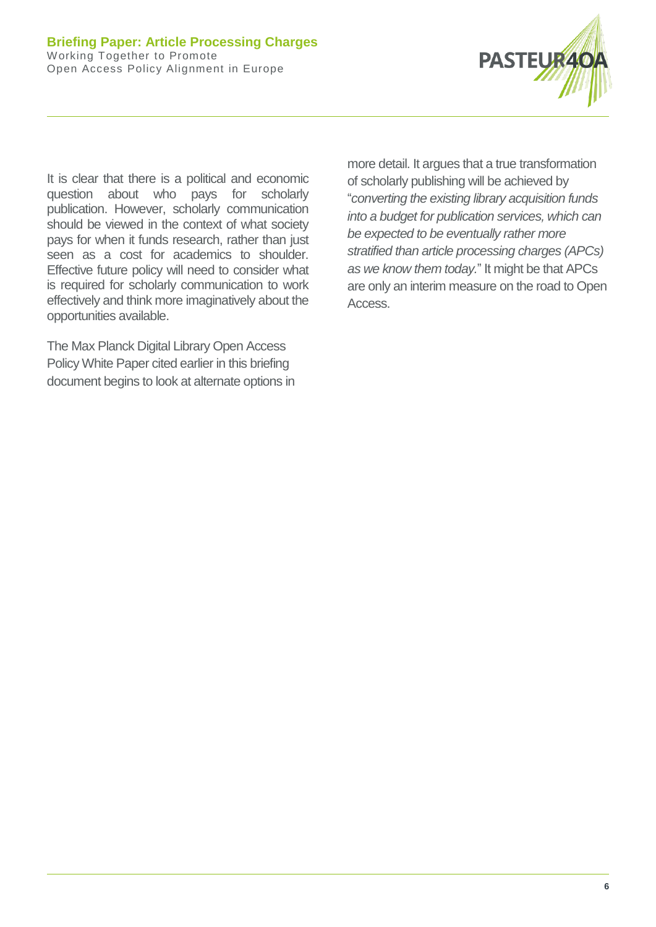

It is clear that there is a political and economic question about who pays for scholarly publication. However, scholarly communication should be viewed in the context of what society pays for when it funds research, rather than just seen as a cost for academics to shoulder. Effective future policy will need to consider what is required for scholarly communication to work effectively and think more imaginatively about the opportunities available.

The Max Planck Digital Library Open Access Policy White Paper cited earlier in this briefing document begins to look at alternate options in more detail. It argues that a true transformation of scholarly publishing will be achieved by "*converting the existing library acquisition funds into a budget for publication services, which can be expected to be eventually rather more stratified than article processing charges (APCs) as we know them today.*" It might be that APCs are only an interim measure on the road to Open **Access**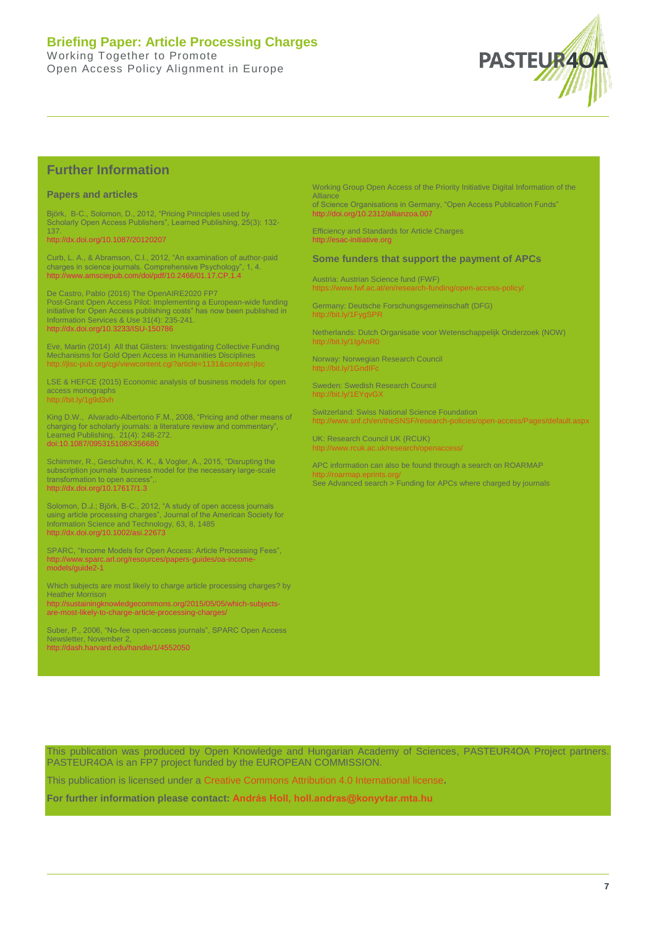#### **Briefing Paper: Article Processing Charges**

Working Together to Promote Open Access Policy Alignment in Europe



#### **Further Information**

#### **Papers and articles**

Björk, B-C., Solomon, D., 2012, "Pricing Principles used by Scholarly Open Access Publishers", Learned Publishing, 25(3): 132- 137.

<http://dx.doi.org/10.1087/20120207>

Curb, L. A., & Abramson, C.I., 2012, "An examination of author-paid charges in science journals. Comprehensive Psychology", 1, 4. <http://www.amsciepub.com/doi/pdf/10.2466/01.17.CP.1.4>

De Castro, Pablo (2016) The OpenAIRE2020 FP7 Post-Grant Open Access Pilot: Implementing a European-wide funding initiative for Open Access publishing costs" has now been published in Information Services & Use 31(4): 235-241. http://dx.doi.org/10.3233/ISU-150786

Eve, Martin (2014) All that Glisters: Investigating Collective Funding Mechanisms for Gold Open Access in Humanities Disciplines http://jlsc-pub.org/cgi/viewcontent.cgi?article=1131&context=jl

LSE & HEFCE (2015) Economic analysis of business models for open access monographs <http://bit.ly/1g9d3vh>

King D.W., Alvarado-Albertorio F.M., 2008, "Pricing and other means of charging for scholarly journals: a literature review and commentary", Learned Publishing, 21(4): 248-272. doi[:10.1087/095315108X356680](http://dx.doi.org/10.1087/095315108X356680)

Schimmer, R., Geschuhn, K. K., & Vogler, A., 2015, "Disrupting the subscription journals' business model for the necessary large-scale transformation to open access",. <http://dx.doi.org/10.17617/1.3>

Solomon, D.J.; Björk, B-C., 2012, "A study of open access journals using article processing charges", Journal of the American Society for Information Science and Technology, 63, 8, 1485 <http://dx.doi.org/10.1002/asi.22673>

SPARC, "Income Models for Open Access: Article Processing Fees", [http://www.sparc.arl.org/resources/papers-guides/oa-income](http://www.sparc.arl.org/resources/papers-guides/oa-income-models/guide2-1)[models/guide2-1](http://www.sparc.arl.org/resources/papers-guides/oa-income-models/guide2-1)

Which subjects are most likely to charge article processing charges? by **Heather Morrison** [http://sustainingknowledgecommons.org/2015/05/05/which-subjects](http://sustainingknowledgecommons.org/2015/05/05/which-subjects-are-most-likely-to-charge-article-processing-charges/)[are-most-likely-to-charge-article-processing-charges/](http://sustainingknowledgecommons.org/2015/05/05/which-subjects-are-most-likely-to-charge-article-processing-charges/)

Suber, P., 2006, "No-fee open-access journals", SPARC Open Access Newsletter, November 2, <http://dash.harvard.edu/handle/1/4552050>

Working Group Open Access of the Priority Initiative Digital Information of the **Alliance** 

of Science Organisations in Germany, "Open Access Publication Funds" <http://doi.org/10.2312/allianzoa.007>

Efficiency and Standards for Article Charges [http://esac-initiative.org](http://esac-initiative.org/)

#### **Some funders that support the payment of APCs**

Austria: Austrian Science fund (FWF) <https://www.fwf.ac.at/en/research-funding/open-access-policy/>

Germany: Deutsche Forschungsgemeinschaft (DFG) <http://bit.ly/1FygSPR>

Netherlands: Dutch Organisatie voor Wetenschappelijk Onderzoek (NOW) <http://bit.ly/1IgAnR0>

Norway: Norwegian Research Council <http://bit.ly/1GndIFc>

Sweden: Swedish Research Council http://bit.ly/1EYqvG

Switzerland: Swiss National Science Foundation <http://www.snf.ch/en/theSNSF/research-policies/open-access/Pages/default.aspx>

UK: Research Council UK (RCUK) <http://www.rcuk.ac.uk/research/openaccess/>

APC information can also be found through a search on ROARMAP <http://roarmap.eprints.org/> See Advanced search > Funding for APCs where charged by journals

This publication was produced by Open Knowledge and Hungarian Academy of Sciences, PASTEUR4OA Project partners. PASTEUR4OA is an FP7 project funded by the EUROPEAN COMMISSION.

This publication is licensed under a [Creative Commons Attribution 4.0 International license](http://creativecommons.org/licenses/by/4.0/)**.** 

**For further information please contact: András Holl, holl.andras@konyvtar.mta.hu**